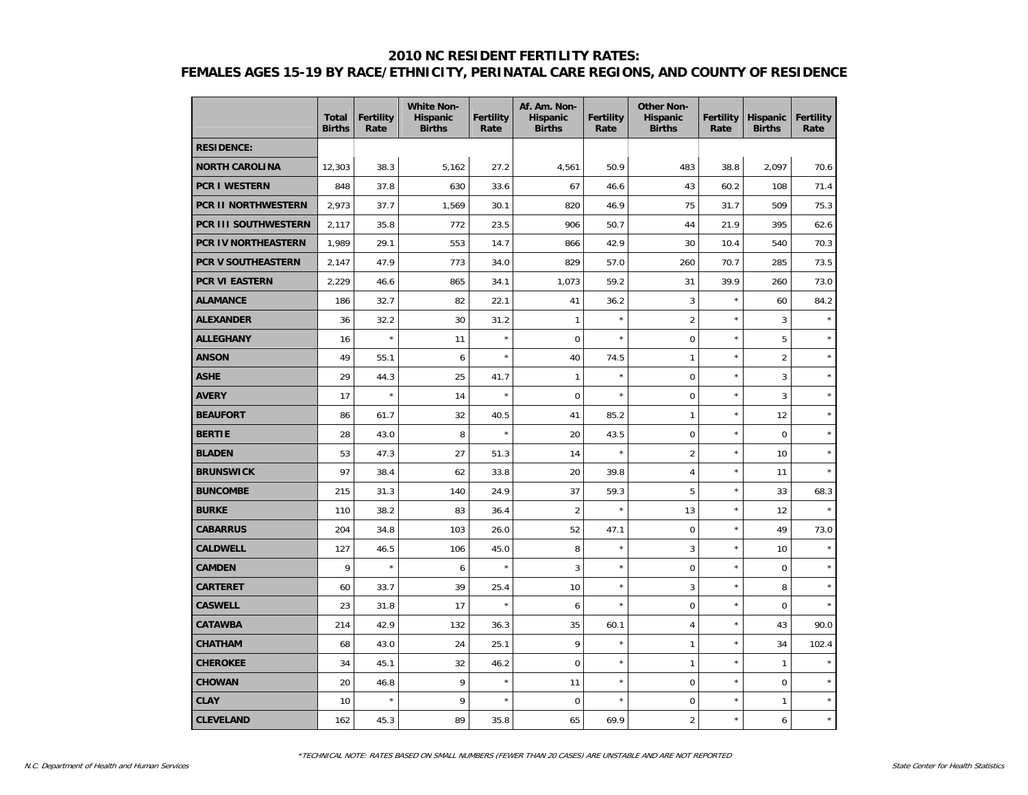#### **2010 NC RESIDENT FERTILITY RATES:**

# **FEMALES AGES 15-19 BY RACE/ETHNICITY, PERINATAL CARE REGIONS, AND COUNTY OF RESIDENCE**

|                       | <b>Total</b><br><b>Births</b> | <b>Fertility</b><br>Rate | <b>White Non-</b><br><b>Hispanic</b><br><b>Births</b> | <b>Fertility</b><br>Rate | Af. Am. Non-<br><b>Hispanic</b><br><b>Births</b> | <b>Fertility</b><br>Rate | <b>Other Non-</b><br><b>Hispanic</b><br><b>Births</b> | <b>Fertility</b><br>Rate | <b>Hispanic</b><br><b>Births</b> | <b>Fertility</b><br>Rate |
|-----------------------|-------------------------------|--------------------------|-------------------------------------------------------|--------------------------|--------------------------------------------------|--------------------------|-------------------------------------------------------|--------------------------|----------------------------------|--------------------------|
| <b>RESIDENCE:</b>     |                               |                          |                                                       |                          |                                                  |                          |                                                       |                          |                                  |                          |
| <b>NORTH CAROLINA</b> | 12,303                        | 38.3                     | 5,162                                                 | 27.2                     | 4,561                                            | 50.9                     | 483                                                   | 38.8                     | 2,097                            | 70.6                     |
| <b>PCR I WESTERN</b>  | 848                           | 37.8                     | 630                                                   | 33.6                     | 67                                               | 46.6                     | 43                                                    | 60.2                     | 108                              | 71.4                     |
| PCR II NORTHWESTERN   | 2,973                         | 37.7                     | 1,569                                                 | 30.1                     | 820                                              | 46.9                     | 75                                                    | 31.7                     | 509                              | 75.3                     |
| PCR III SOUTHWESTERN  | 2,117                         | 35.8                     | 772                                                   | 23.5                     | 906                                              | 50.7                     | 44                                                    | 21.9                     | 395                              | 62.6                     |
| PCR IV NORTHEASTERN   | 1,989                         | 29.1                     | 553                                                   | 14.7                     | 866                                              | 42.9                     | 30                                                    | 10.4                     | 540                              | 70.3                     |
| PCR V SOUTHEASTERN    | 2,147                         | 47.9                     | 773                                                   | 34.0                     | 829                                              | 57.0                     | 260                                                   | 70.7                     | 285                              | 73.5                     |
| PCR VI EASTERN        | 2,229                         | 46.6                     | 865                                                   | 34.1                     | 1,073                                            | 59.2                     | 31                                                    | 39.9                     | 260                              | 73.0                     |
| <b>ALAMANCE</b>       | 186                           | 32.7                     | 82                                                    | 22.1                     | 41                                               | 36.2                     | 3                                                     | $\star$                  | 60                               | 84.2                     |
| <b>ALEXANDER</b>      | 36                            | 32.2                     | 30                                                    | 31.2                     | 1                                                | $\star$                  | $\overline{2}$                                        | $\star$                  | 3                                | $\star$                  |
| <b>ALLEGHANY</b>      | 16                            | $\star$                  | 11                                                    | $\star$                  | $\mathbf 0$                                      | $\star$                  | 0                                                     | $\star$                  | 5                                | $\star$                  |
| <b>ANSON</b>          | 49                            | 55.1                     | 6                                                     | $\star$                  | 40                                               | 74.5                     | 1                                                     | $\star$                  | $\overline{c}$                   | $\star$                  |
| <b>ASHE</b>           | 29                            | 44.3                     | 25                                                    | 41.7                     | $\mathbf{1}$                                     | $\star$                  | $\mathbf 0$                                           | $\star$                  | 3                                | $\star$                  |
| <b>AVERY</b>          | 17                            | $\star$                  | 14                                                    | $\star$                  | $\mathbf 0$                                      | $\star$                  | $\mathsf 0$                                           | $\star$                  | 3                                | $\star$                  |
| <b>BEAUFORT</b>       | 86                            | 61.7                     | 32                                                    | 40.5                     | 41                                               | 85.2                     | 1                                                     | $\star$                  | 12                               | $\star$                  |
| <b>BERTIE</b>         | 28                            | 43.0                     | 8                                                     | $\star$                  | 20                                               | 43.5                     | $\mathsf 0$                                           | $\star$                  | $\mathbf 0$                      | $\star$                  |
| <b>BLADEN</b>         | 53                            | 47.3                     | 27                                                    | 51.3                     | 14                                               | $\star$                  | $\overline{2}$                                        | $\star$                  | 10                               | $\star$                  |
| <b>BRUNSWICK</b>      | 97                            | 38.4                     | 62                                                    | 33.8                     | 20                                               | 39.8                     | $\overline{4}$                                        | $\star$                  | 11                               | $\star$                  |
| <b>BUNCOMBE</b>       | 215                           | 31.3                     | 140                                                   | 24.9                     | 37                                               | 59.3                     | 5                                                     | ×                        | 33                               | 68.3                     |
| <b>BURKE</b>          | 110                           | 38.2                     | 83                                                    | 36.4                     | $\overline{c}$                                   | $\star$                  | 13                                                    | $\star$                  | 12                               |                          |
| <b>CABARRUS</b>       | 204                           | 34.8                     | 103                                                   | 26.0                     | 52                                               | 47.1                     | $\mathbf 0$                                           | ×                        | 49                               | 73.0                     |
| <b>CALDWELL</b>       | 127                           | 46.5                     | 106                                                   | 45.0                     | 8                                                | $\star$                  | 3                                                     | $\star$                  | 10                               | $\star$                  |
| <b>CAMDEN</b>         | 9                             | $\star$                  | 6                                                     | $\star$                  | 3                                                | $\star$                  | $\mathsf 0$                                           | $\star$                  | $\mathbf 0$                      | $\star$                  |
| <b>CARTERET</b>       | 60                            | 33.7                     | 39                                                    | 25.4                     | 10                                               | $\star$                  | 3                                                     | $\star$                  | 8                                | $\star$                  |
| <b>CASWELL</b>        | 23                            | 31.8                     | 17                                                    | $\star$                  | 6                                                | $\star$                  | $\mathbf 0$                                           | $\star$                  | $\mathbf 0$                      | $\star$                  |
| <b>CATAWBA</b>        | 214                           | 42.9                     | 132                                                   | 36.3                     | 35                                               | 60.1                     | 4                                                     | $\star$                  | 43                               | 90.0                     |
| <b>CHATHAM</b>        | 68                            | 43.0                     | 24                                                    | 25.1                     | 9                                                | $\star$                  | 1                                                     | $\star$                  | 34                               | 102.4                    |
| <b>CHEROKEE</b>       | 34                            | 45.1                     | 32                                                    | 46.2                     | $\mathbf 0$                                      | $\star$                  | $\mathbf{1}$                                          | $\star$                  | $\mathbf{1}$                     | $\star$                  |
| <b>CHOWAN</b>         | 20                            | 46.8                     | 9                                                     | $\star$                  | 11                                               | $\star$                  | $\mathsf 0$                                           | $\star$                  | $\mathbf 0$                      | $\star$                  |
| <b>CLAY</b>           | 10                            | $\star$                  | 9                                                     | $\star$                  | 0                                                | $\star$                  | $\mathbf 0$                                           | $\star$                  | 1                                | $\star$                  |
| <b>CLEVELAND</b>      | 162                           | 45.3                     | 89                                                    | 35.8                     | 65                                               | 69.9                     | $\overline{c}$                                        | $\star$                  | 6                                | $\star$                  |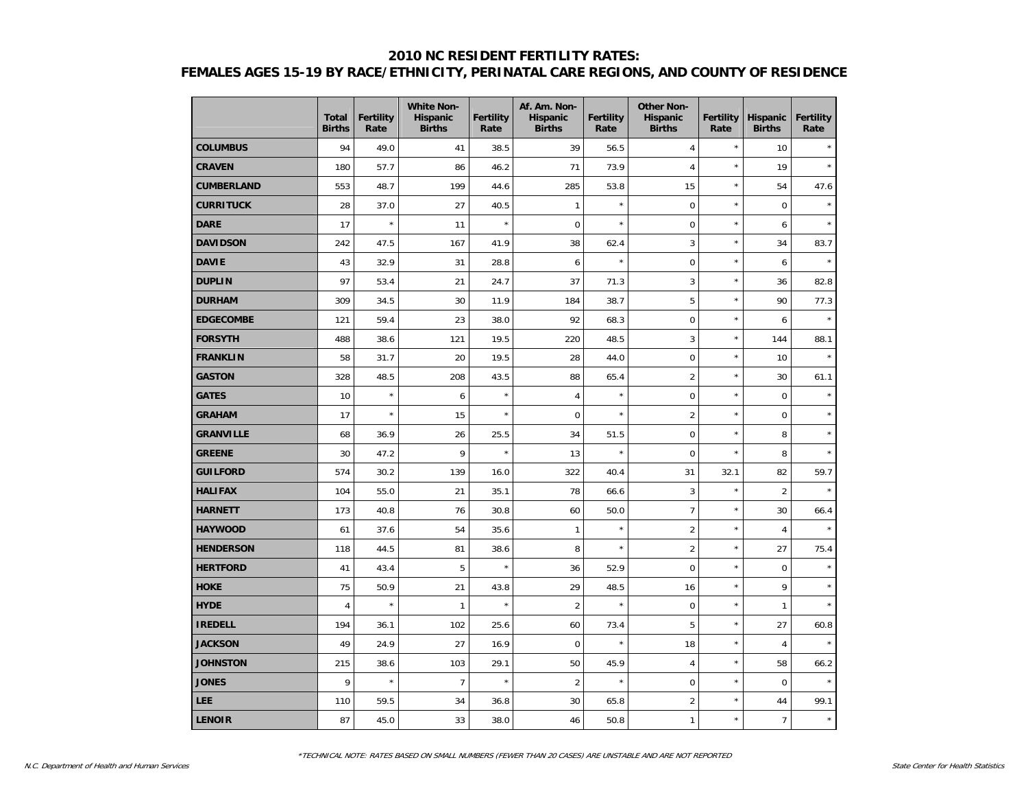## **2010 NC RESIDENT FERTILITY RATES: FEMALES AGES 15-19 BY RACE/ETHNICITY, PERINATAL CARE REGIONS, AND COUNTY OF RESIDENCE**

|                   | <b>Total</b><br><b>Births</b> | <b>Fertility</b><br>Rate | <b>White Non-</b><br><b>Hispanic</b><br><b>Births</b> | <b>Fertility</b><br>Rate | Af. Am. Non-<br><b>Hispanic</b><br><b>Births</b> | Fertility<br>Rate | <b>Other Non-</b><br><b>Hispanic</b><br><b>Births</b> | <b>Fertility</b><br>Rate | <b>Hispanic</b><br><b>Births</b> | <b>Fertility</b><br>Rate |
|-------------------|-------------------------------|--------------------------|-------------------------------------------------------|--------------------------|--------------------------------------------------|-------------------|-------------------------------------------------------|--------------------------|----------------------------------|--------------------------|
| <b>COLUMBUS</b>   | 94                            | 49.0                     | 41                                                    | 38.5                     | 39                                               | 56.5              | $\overline{4}$                                        | $\star$                  | 10                               |                          |
| <b>CRAVEN</b>     | 180                           | 57.7                     | 86                                                    | 46.2                     | 71                                               | 73.9              | $\overline{4}$                                        | $\star$                  | 19                               | $\star$                  |
| <b>CUMBERLAND</b> | 553                           | 48.7                     | 199                                                   | 44.6                     | 285                                              | 53.8              | 15                                                    | $\star$                  | 54                               | 47.6                     |
| <b>CURRITUCK</b>  | 28                            | 37.0                     | 27                                                    | 40.5                     | 1                                                | $\star$           | $\mathsf 0$                                           | $\star$                  | $\mathbf 0$                      | $\star$                  |
| <b>DARE</b>       | 17                            | $\star$                  | 11                                                    | $\star$                  | $\mathbf 0$                                      | $\star$           | $\pmb{0}$                                             | $\star$                  | 6                                |                          |
| <b>DAVIDSON</b>   | 242                           | 47.5                     | 167                                                   | 41.9                     | 38                                               | 62.4              | 3                                                     | $\star$                  | 34                               | 83.7                     |
| <b>DAVIE</b>      | 43                            | 32.9                     | 31                                                    | 28.8                     | 6                                                | $\star$           | $\mathbf 0$                                           | $\star$                  | 6                                | $\star$                  |
| <b>DUPLIN</b>     | 97                            | 53.4                     | 21                                                    | 24.7                     | 37                                               | 71.3              | 3                                                     | $\star$                  | 36                               | 82.8                     |
| <b>DURHAM</b>     | 309                           | 34.5                     | 30                                                    | 11.9                     | 184                                              | 38.7              | 5                                                     | $\star$                  | 90                               | 77.3                     |
| <b>EDGECOMBE</b>  | 121                           | 59.4                     | 23                                                    | 38.0                     | 92                                               | 68.3              | $\mathbf 0$                                           | ×                        | 6                                | $\star$                  |
| <b>FORSYTH</b>    | 488                           | 38.6                     | 121                                                   | 19.5                     | 220                                              | 48.5              | 3                                                     | $\star$                  | 144                              | 88.1                     |
| <b>FRANKLIN</b>   | 58                            | 31.7                     | 20                                                    | 19.5                     | 28                                               | 44.0              | $\pmb{0}$                                             | $\star$                  | 10                               | $\star$                  |
| <b>GASTON</b>     | 328                           | 48.5                     | 208                                                   | 43.5                     | 88                                               | 65.4              | $\overline{2}$                                        | $\star$                  | 30                               | 61.1                     |
| <b>GATES</b>      | 10                            | $\star$                  | 6                                                     | $\star$                  | 4                                                | $\star$           | $\mathbf 0$                                           | $\star$                  | $\mathbf 0$                      |                          |
| <b>GRAHAM</b>     | 17                            | $\star$                  | 15                                                    | $\star$                  | $\mathbf 0$                                      | $\star$           | $\overline{2}$                                        | $\star$                  | $\mathbf 0$                      | $\star$                  |
| <b>GRANVILLE</b>  | 68                            | 36.9                     | 26                                                    | 25.5                     | 34                                               | 51.5              | $\mathbf 0$                                           | $\star$                  | 8                                | $\star$                  |
| <b>GREENE</b>     | 30                            | 47.2                     | 9                                                     | $\star$                  | 13                                               | $\star$           | $\mathbf 0$                                           | $\star$                  | 8                                |                          |
| <b>GUILFORD</b>   | 574                           | 30.2                     | 139                                                   | 16.0                     | 322                                              | 40.4              | 31                                                    | 32.1                     | 82                               | 59.7                     |
| <b>HALIFAX</b>    | 104                           | 55.0                     | 21                                                    | 35.1                     | 78                                               | 66.6              | 3                                                     | $\star$                  | $\overline{2}$                   | $\star$                  |
| <b>HARNETT</b>    | 173                           | 40.8                     | 76                                                    | 30.8                     | 60                                               | 50.0              | $\overline{7}$                                        | $\star$                  | 30                               | 66.4                     |
| <b>HAYWOOD</b>    | 61                            | 37.6                     | 54                                                    | 35.6                     | $\mathbf{1}$                                     | $\star$           | $\overline{2}$                                        | $\star$                  | $\overline{4}$                   |                          |
| <b>HENDERSON</b>  | 118                           | 44.5                     | 81                                                    | 38.6                     | 8                                                | $\star$           | $\overline{2}$                                        | $\star$                  | 27                               | 75.4                     |
| <b>HERTFORD</b>   | 41                            | 43.4                     | 5                                                     | $\star$                  | 36                                               | 52.9              | $\mathsf 0$                                           | $\star$                  | $\mathbf 0$                      | $\star$                  |
| <b>HOKE</b>       | 75                            | 50.9                     | 21                                                    | 43.8                     | 29                                               | 48.5              | 16                                                    | $\star$                  | 9                                |                          |
| <b>HYDE</b>       | 4                             | $\star$                  | $\mathbf{1}$                                          | $\star$                  | $\overline{2}$                                   | $\star$           | $\mathbf 0$                                           | $\star$                  | $\mathbf{1}$                     |                          |
| <b>IREDELL</b>    | 194                           | 36.1                     | 102                                                   | 25.6                     | 60                                               | 73.4              | 5                                                     | $\star$                  | 27                               | 60.8                     |
| <b>JACKSON</b>    | 49                            | 24.9                     | 27                                                    | 16.9                     | $\mathbf 0$                                      | $\star$           | 18                                                    | $\star$                  | $\sqrt{4}$                       | $\star$                  |
| <b>JOHNSTON</b>   | 215                           | 38.6                     | 103                                                   | 29.1                     | 50                                               | 45.9              | $\overline{4}$                                        | $\star$                  | 58                               | 66.2                     |
| <b>JONES</b>      | 9                             | $\star$                  | $\overline{7}$                                        | $\star$                  | $\overline{2}$                                   | $\star$           | $\pmb{0}$                                             | $\star$                  | $\pmb{0}$                        |                          |
| <b>LEE</b>        | 110                           | 59.5                     | 34                                                    | 36.8                     | 30                                               | 65.8              | $\overline{2}$                                        | $\star$                  | 44                               | 99.1                     |
| <b>LENOIR</b>     | 87                            | 45.0                     | 33                                                    | 38.0                     | 46                                               | 50.8              | $\mathbf{1}$                                          | $\star$                  | $\overline{7}$                   | $\star$                  |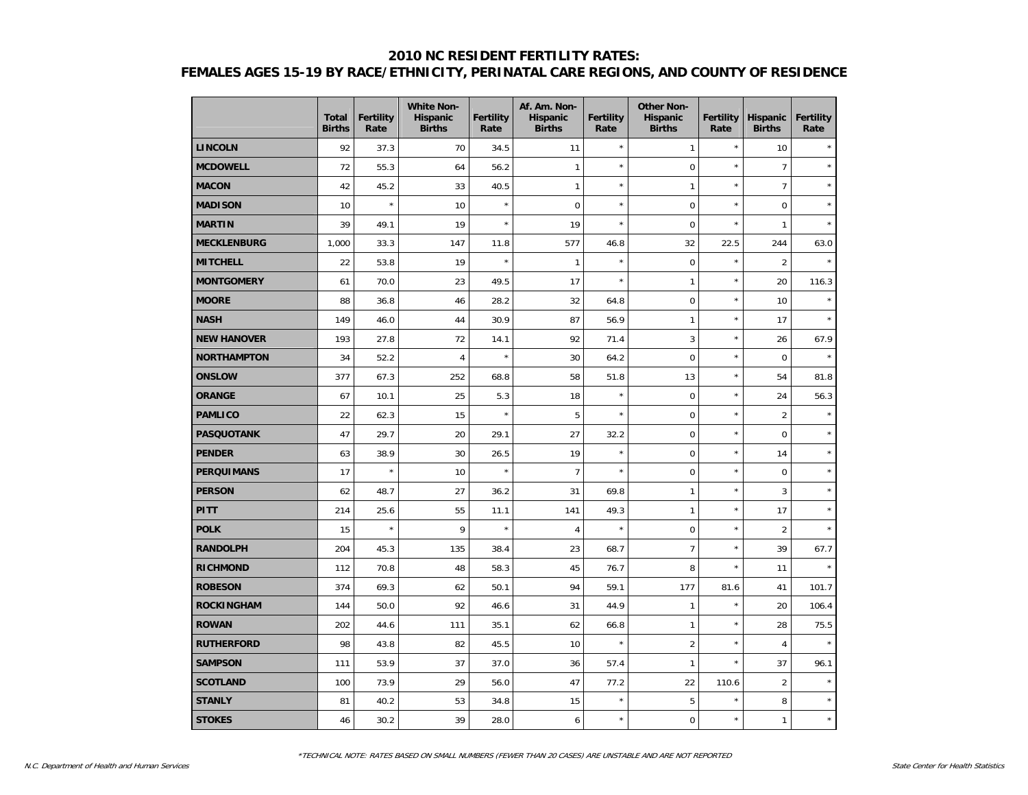## **2010 NC RESIDENT FERTILITY RATES: FEMALES AGES 15-19 BY RACE/ETHNICITY, PERINATAL CARE REGIONS, AND COUNTY OF RESIDENCE**

|                    | <b>Total</b><br><b>Births</b> | <b>Fertility</b><br>Rate | <b>White Non-</b><br><b>Hispanic</b><br><b>Births</b> | <b>Fertility</b><br>Rate | Af. Am. Non-<br><b>Hispanic</b><br><b>Births</b> | Fertility<br>Rate | <b>Other Non-</b><br><b>Hispanic</b><br><b>Births</b> | <b>Fertility</b><br>Rate | <b>Hispanic</b><br><b>Births</b> | <b>Fertility</b><br>Rate |
|--------------------|-------------------------------|--------------------------|-------------------------------------------------------|--------------------------|--------------------------------------------------|-------------------|-------------------------------------------------------|--------------------------|----------------------------------|--------------------------|
| <b>LINCOLN</b>     | 92                            | 37.3                     | 70                                                    | 34.5                     | 11                                               | $\star$           | $\mathbf{1}$                                          | $\star$                  | 10                               |                          |
| <b>MCDOWELL</b>    | 72                            | 55.3                     | 64                                                    | 56.2                     | 1                                                | $\star$           | $\mathbf 0$                                           | $\star$                  | $\overline{7}$                   | $\star$                  |
| <b>MACON</b>       | 42                            | 45.2                     | 33                                                    | 40.5                     | $\mathbf{1}$                                     | $\star$           | $\mathbf{1}$                                          | $\star$                  | $\overline{7}$                   | $\star$                  |
| <b>MADISON</b>     | 10                            | $\star$                  | 10                                                    | $\star$                  | $\mathbf 0$                                      | $\star$           | $\mathbf 0$                                           | $\star$                  | $\mathbf 0$                      | $\star$                  |
| <b>MARTIN</b>      | 39                            | 49.1                     | 19                                                    | $\star$                  | 19                                               | $\star$           | $\mathbf 0$                                           | $\star$                  | $\mathbf{1}$                     |                          |
| <b>MECKLENBURG</b> | 1,000                         | 33.3                     | 147                                                   | 11.8                     | 577                                              | 46.8              | 32                                                    | 22.5                     | 244                              | 63.0                     |
| <b>MITCHELL</b>    | 22                            | 53.8                     | 19                                                    | $\star$                  | $\mathbf{1}$                                     | $\star$           | $\mathbf 0$                                           | $\star$                  | $\overline{2}$                   |                          |
| <b>MONTGOMERY</b>  | 61                            | 70.0                     | 23                                                    | 49.5                     | 17                                               | $\star$           | $\mathbf{1}$                                          | $\star$                  | 20                               | 116.3                    |
| <b>MOORE</b>       | 88                            | 36.8                     | 46                                                    | 28.2                     | 32                                               | 64.8              | $\mathbf 0$                                           | $\star$                  | 10                               |                          |
| <b>NASH</b>        | 149                           | 46.0                     | 44                                                    | 30.9                     | 87                                               | 56.9              | $\mathbf{1}$                                          | $\star$                  | 17                               |                          |
| <b>NEW HANOVER</b> | 193                           | 27.8                     | 72                                                    | 14.1                     | 92                                               | 71.4              | 3                                                     | $\star$                  | 26                               | 67.9                     |
| <b>NORTHAMPTON</b> | 34                            | 52.2                     | 4                                                     | $\star$                  | 30                                               | 64.2              | 0                                                     | $\star$                  | $\pmb{0}$                        | $\star$                  |
| <b>ONSLOW</b>      | 377                           | 67.3                     | 252                                                   | 68.8                     | 58                                               | 51.8              | 13                                                    | $\star$                  | 54                               | 81.8                     |
| <b>ORANGE</b>      | 67                            | 10.1                     | 25                                                    | 5.3                      | 18                                               | $\star$           | $\mathbf 0$                                           | $\star$                  | 24                               | 56.3                     |
| <b>PAMLICO</b>     | 22                            | 62.3                     | 15                                                    | $\star$                  | 5                                                | $\star$           | $\mathbf 0$                                           | $\star$                  | $\overline{2}$                   |                          |
| <b>PASQUOTANK</b>  | 47                            | 29.7                     | 20                                                    | 29.1                     | 27                                               | 32.2              | $\mathbf 0$                                           | $\star$                  | $\mathbf 0$                      | $\star$                  |
| <b>PENDER</b>      | 63                            | 38.9                     | 30                                                    | 26.5                     | 19                                               | $\star$           | $\mathbf 0$                                           | $\star$                  | 14                               | $\star$                  |
| <b>PERQUIMANS</b>  | 17                            | $\star$                  | 10                                                    | $\star$                  | $\overline{7}$                                   | $\star$           | 0                                                     | $\star$                  | $\pmb{0}$                        | $\star$                  |
| <b>PERSON</b>      | 62                            | 48.7                     | 27                                                    | 36.2                     | 31                                               | 69.8              | 1                                                     | $\star$                  | 3                                | $\star$                  |
| <b>PITT</b>        | 214                           | 25.6                     | 55                                                    | 11.1                     | 141                                              | 49.3              | $\mathbf{1}$                                          | $\star$                  | 17                               | $\star$                  |
| <b>POLK</b>        | 15                            | $\star$                  | 9                                                     | $\star$                  | $\overline{4}$                                   | $\star$           | $\mathbf 0$                                           | $\star$                  | $\overline{2}$                   |                          |
| <b>RANDOLPH</b>    | 204                           | 45.3                     | 135                                                   | 38.4                     | 23                                               | 68.7              | $\overline{7}$                                        | $\star$                  | 39                               | 67.7                     |
| <b>RICHMOND</b>    | 112                           | 70.8                     | 48                                                    | 58.3                     | 45                                               | 76.7              | 8                                                     | $\star$                  | 11                               |                          |
| <b>ROBESON</b>     | 374                           | 69.3                     | 62                                                    | 50.1                     | 94                                               | 59.1              | 177                                                   | 81.6                     | 41                               | 101.7                    |
| ROCKINGHAM         | 144                           | 50.0                     | 92                                                    | 46.6                     | 31                                               | 44.9              | 1                                                     | $\star$                  | 20                               | 106.4                    |
| <b>ROWAN</b>       | 202                           | 44.6                     | 111                                                   | 35.1                     | 62                                               | 66.8              | $\mathbf{1}$                                          | $\star$                  | 28                               | 75.5                     |
| <b>RUTHERFORD</b>  | 98                            | 43.8                     | 82                                                    | 45.5                     | 10                                               | $\star$           | $\overline{2}$                                        | $\star$                  | $\overline{4}$                   | $\star$                  |
| <b>SAMPSON</b>     | 111                           | 53.9                     | 37                                                    | 37.0                     | 36                                               | 57.4              | $\mathbf{1}$                                          | $\star$                  | 37                               | 96.1                     |
| <b>SCOTLAND</b>    | 100                           | 73.9                     | 29                                                    | 56.0                     | 47                                               | 77.2              | 22                                                    | 110.6                    | $\overline{2}$                   |                          |
| <b>STANLY</b>      | 81                            | 40.2                     | 53                                                    | 34.8                     | 15                                               | $\star$           | 5                                                     | $\star$                  | 8                                | $\star$                  |
| <b>STOKES</b>      | 46                            | 30.2                     | 39                                                    | 28.0                     | 6                                                | $\star$           | 0                                                     | $\star$                  | $\mathbf{1}$                     | $\star$                  |